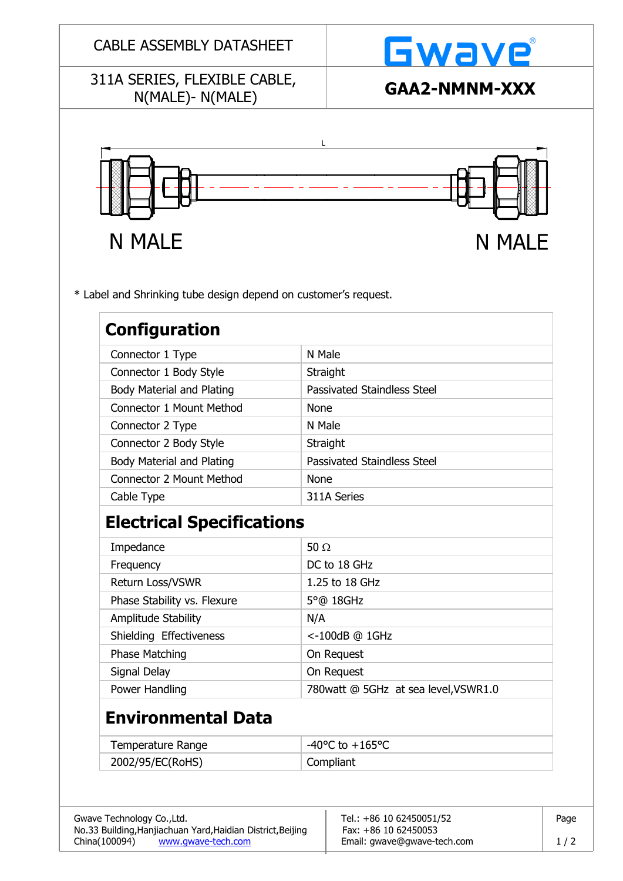### CABLE ASSEMBLY DATASHEET

## 311A SERIES, FLEXIBLE CABLE, N(MALE)- N(MALE) **GAA2-NMNM-XXX**



\* Label and Shrinking tube design depend on customer's request.

| Configuration                    |                                    |
|----------------------------------|------------------------------------|
| Connector 1 Type                 | N Male                             |
| Connector 1 Body Style           | Straight                           |
| <b>Body Material and Plating</b> | <b>Passivated Staindless Steel</b> |
| Connector 1 Mount Method         | <b>None</b>                        |
| Connector 2 Type                 | N Male                             |
| Connector 2 Body Style           | Straight                           |
| <b>Body Material and Plating</b> | <b>Passivated Staindless Steel</b> |
| Connector 2 Mount Method         | <b>None</b>                        |
| Cable Type                       | 311A Series                        |
|                                  |                                    |

# **Electrical Specifications**

| Impedance                   | 50 $\Omega$                           |
|-----------------------------|---------------------------------------|
| Frequency                   | DC to 18 GHz                          |
| Return Loss/VSWR            | 1.25 to 18 GHz                        |
| Phase Stability vs. Flexure | $5^{\circ}$ @ 18GHz                   |
| Amplitude Stability         | N/A                                   |
| Shielding Effectiveness     | <-100dB @ 1GHz                        |
| <b>Phase Matching</b>       | On Request                            |
| Signal Delay                | On Request                            |
| Power Handling              | 780 watt @ 5GHz at sea level, VSWR1.0 |

# **Environmental Data**

| Temperature Range | $-40^{\circ}$ C to $+165^{\circ}$ C |
|-------------------|-------------------------------------|
| 2002/95/EC(RoHS)  | Compliant                           |

| Gwave Technology Co., Ltd.                                  | Tel.: +86 10 62450051/52    | Page |
|-------------------------------------------------------------|-----------------------------|------|
| No.33 Building, Hanjiachuan Yard, Haidian District, Beijing | Fax: $+86$ 10 62450053      |      |
| China (100094)<br>www.gwave-tech.com                        | Email: gwave@gwave-tech.com | 1/2  |